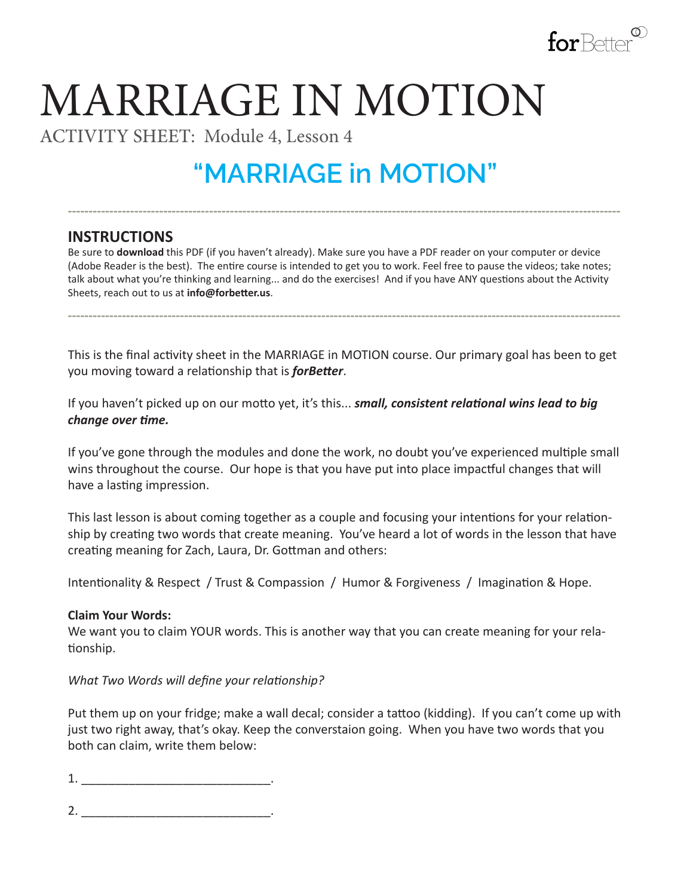

# MARRIAGE IN MOTION

ACTIVITY SHEET: Module 4, Lesson 4

## **"MARRIAGE in MOTION"**

**-------------------------------------------------------------------------------------------------------------------------------------**

### **INSTRUCTIONS**

Be sure to **download** this PDF (if you haven't already). Make sure you have a PDF reader on your computer or device (Adobe Reader is the best). The entire course is intended to get you to work. Feel free to pause the videos; take notes; talk about what you're thinking and learning... and do the exercises! And if you have ANY questions about the Activity Sheets, reach out to us at **info@forbetter.us**.

This is the final activity sheet in the MARRIAGE in MOTION course. Our primary goal has been to get you moving toward a relationship that is *forBetter*.

**-------------------------------------------------------------------------------------------------------------------------------------**

If you haven't picked up on our motto yet, it's this... *small, consistent relational wins lead to big change over time.*

If you've gone through the modules and done the work, no doubt you've experienced multiple small wins throughout the course. Our hope is that you have put into place impactful changes that will have a lasting impression.

This last lesson is about coming together as a couple and focusing your intentions for your relationship by creating two words that create meaning. You've heard a lot of words in the lesson that have creating meaning for Zach, Laura, Dr. Gottman and others:

Intentionality & Respect / Trust & Compassion / Humor & Forgiveness / Imagination & Hope.

#### **Claim Your Words:**

We want you to claim YOUR words. This is another way that you can create meaning for your relationship.

*What Two Words will define your relationship?*

Put them up on your fridge; make a wall decal; consider a tattoo (kidding). If you can't come up with just two right away, that's okay. Keep the converstaion going. When you have two words that you both can claim, write them below:

 $1.$ 

2. \_\_\_\_\_\_\_\_\_\_\_\_\_\_\_\_\_\_\_\_\_\_\_\_\_\_\_\_.